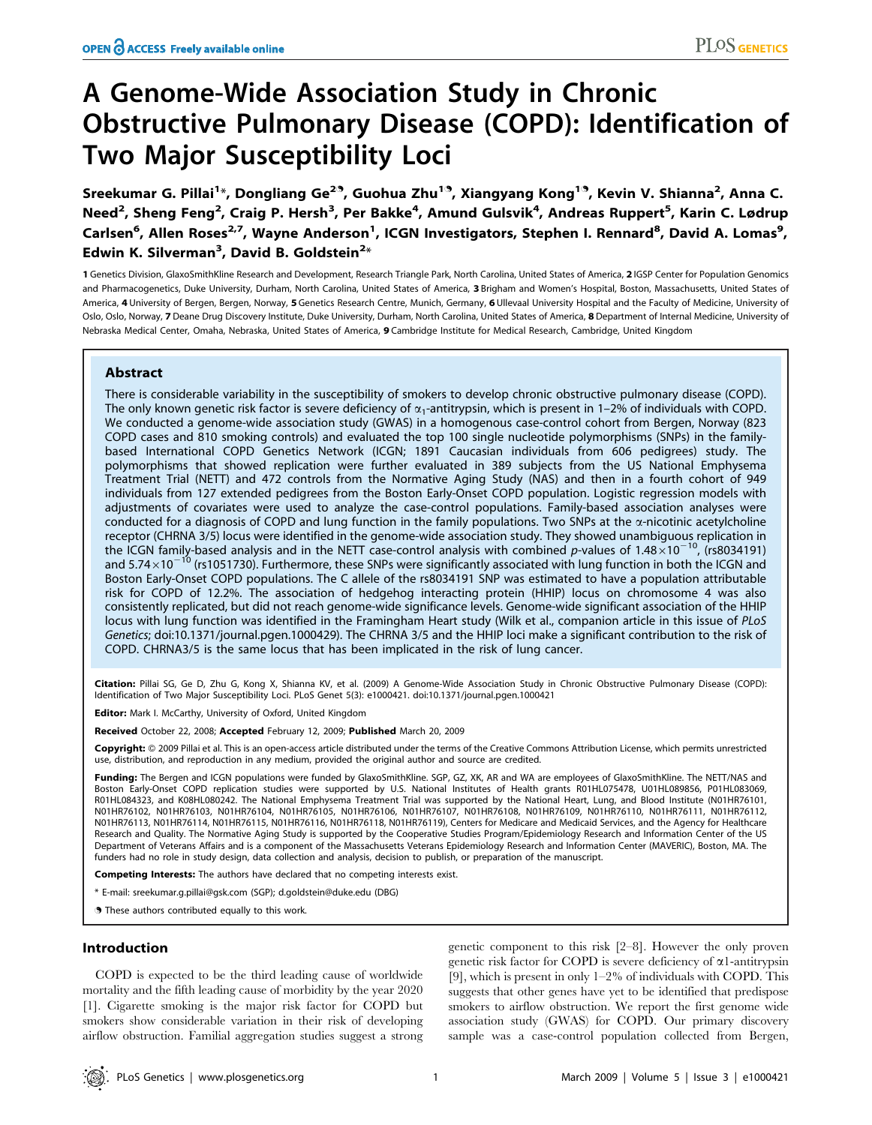# A Genome-Wide Association Study in Chronic Obstructive Pulmonary Disease (COPD): Identification of Two Major Susceptibility Loci

Sreekumar G. Pillai<sup>1</sup>\*, Dongliang Ge<sup>29</sup>, Guohua Zhu<sup>19</sup>, Xiangyang Kong<sup>19</sup>, Kevin V. Shianna<sup>2</sup>, Anna C. Need<sup>2</sup>, Sheng Feng<sup>2</sup>, Craig P. Hersh<sup>3</sup>, Per Bakke<sup>4</sup>, Amund Gulsvik<sup>4</sup>, Andreas Ruppert<sup>5</sup>, Karin C. Lødrup Carlsen<sup>6</sup>, Allen Roses<sup>2,7</sup>, Wayne Anderson<sup>1</sup>, ICGN Investigators, Stephen I. Rennard<sup>8</sup>, David A. Lomas<sup>9</sup>, Edwin K. Silverman<sup>3</sup>, David B. Goldstein<sup>2</sup>\*

1 Genetics Division, GlaxoSmithKline Research and Development, Research Triangle Park, North Carolina, United States of America, 2 IGSP Center for Population Genomics and Pharmacogenetics, Duke University, Durham, North Carolina, United States of America, 3 Brigham and Women's Hospital, Boston, Massachusetts, United States of America, 4 University of Bergen, Bergen, Norway, 5 Genetics Research Centre, Munich, Germany, 6 Ullevaal University Hospital and the Faculty of Medicine, University of Oslo, Oslo, Norway, 7 Deane Drug Discovery Institute, Duke University, Durham, North Carolina, United States of America, 8 Department of Internal Medicine, University of Nebraska Medical Center, Omaha, Nebraska, United States of America, 9 Cambridge Institute for Medical Research, Cambridge, United Kingdom

# Abstract

There is considerable variability in the susceptibility of smokers to develop chronic obstructive pulmonary disease (COPD). The only known genetic risk factor is severe deficiency of  $\alpha_1$ -antitrypsin, which is present in 1–2% of individuals with COPD. We conducted a genome-wide association study (GWAS) in a homogenous case-control cohort from Bergen, Norway (823 COPD cases and 810 smoking controls) and evaluated the top 100 single nucleotide polymorphisms (SNPs) in the familybased International COPD Genetics Network (ICGN; 1891 Caucasian individuals from 606 pedigrees) study. The polymorphisms that showed replication were further evaluated in 389 subjects from the US National Emphysema Treatment Trial (NETT) and 472 controls from the Normative Aging Study (NAS) and then in a fourth cohort of 949 individuals from 127 extended pedigrees from the Boston Early-Onset COPD population. Logistic regression models with adjustments of covariates were used to analyze the case-control populations. Family-based association analyses were conducted for a diagnosis of COPD and lung function in the family populations. Two SNPs at the a-nicotinic acetylcholine receptor (CHRNA 3/5) locus were identified in the genome-wide association study. They showed unambiguous replication in the ICGN family-based analysis and in the NETT case-control analysis with combined p-values of  $1.48 \times 10^{-10}$ , (rs8034191) and  $5.74\times10^{-10}$  (rs1051730). Furthermore, these SNPs were significantly associated with lung function in both the ICGN and Boston Early-Onset COPD populations. The C allele of the rs8034191 SNP was estimated to have a population attributable risk for COPD of 12.2%. The association of hedgehog interacting protein (HHIP) locus on chromosome 4 was also consistently replicated, but did not reach genome-wide significance levels. Genome-wide significant association of the HHIP locus with lung function was identified in the Framingham Heart study (Wilk et al., companion article in this issue of PLoS Genetics; doi:10.1371/journal.pgen.1000429). The CHRNA 3/5 and the HHIP loci make a significant contribution to the risk of COPD. CHRNA3/5 is the same locus that has been implicated in the risk of lung cancer.

Citation: Pillai SG, Ge D, Zhu G, Kong X, Shianna KV, et al. (2009) A Genome-Wide Association Study in Chronic Obstructive Pulmonary Disease (COPD): Identification of Two Major Susceptibility Loci. PLoS Genet 5(3): e1000421. doi:10.1371/journal.pgen.1000421

**Editor:** Mark I. McCarthy, University of Oxford, United Kingdom

Received October 22, 2008; Accepted February 12, 2009; Published March 20, 2009

Copyright: @ 2009 Pillai et al. This is an open-access article distributed under the terms of the Creative Commons Attribution License, which permits unrestricted use, distribution, and reproduction in any medium, provided the original author and source are credited.

Funding: The Bergen and ICGN populations were funded by GlaxoSmithKline. SGP, GZ, XK, AR and WA are employees of GlaxoSmithKline. The NETT/NAS and Boston Early-Onset COPD replication studies were supported by U.S. National Institutes of Health grants R01HL075478, U01HL089856, P01HL083069, R01HL084323, and K08HL080242. The National Emphysema Treatment Trial was supported by the National Heart, Lung, and Blood Institute (N01HR76101, N01HR76102, N01HR76103, N01HR76104, N01HR76105, N01HR76106, N01HR76107, N01HR76108, N01HR76109, N01HR76110, N01HR76111, N01HR76112, N01HR76113, N01HR76114, N01HR76115, N01HR76116, N01HR76118, N01HR76119), Centers for Medicare and Medicaid Services, and the Agency for Healthcare Research and Quality. The Normative Aging Study is supported by the Cooperative Studies Program/Epidemiology Research and Information Center of the US Department of Veterans Affairs and is a component of the Massachusetts Veterans Epidemiology Research and Information Center (MAVERIC), Boston, MA. The funders had no role in study design, data collection and analysis, decision to publish, or preparation of the manuscript.

Competing Interests: The authors have declared that no competing interests exist.

\* E-mail: sreekumar.g.pillai@gsk.com (SGP); d.goldstein@duke.edu (DBG)

. These authors contributed equally to this work.

# Introduction

COPD is expected to be the third leading cause of worldwide mortality and the fifth leading cause of morbidity by the year 2020 [1]. Cigarette smoking is the major risk factor for COPD but smokers show considerable variation in their risk of developing airflow obstruction. Familial aggregation studies suggest a strong

genetic component to this risk [2–8]. However the only proven genetic risk factor for COPD is severe deficiency of  $\alpha$ 1-antitrypsin [9], which is present in only 1–2% of individuals with COPD. This suggests that other genes have yet to be identified that predispose smokers to airflow obstruction. We report the first genome wide association study (GWAS) for COPD. Our primary discovery sample was a case-control population collected from Bergen,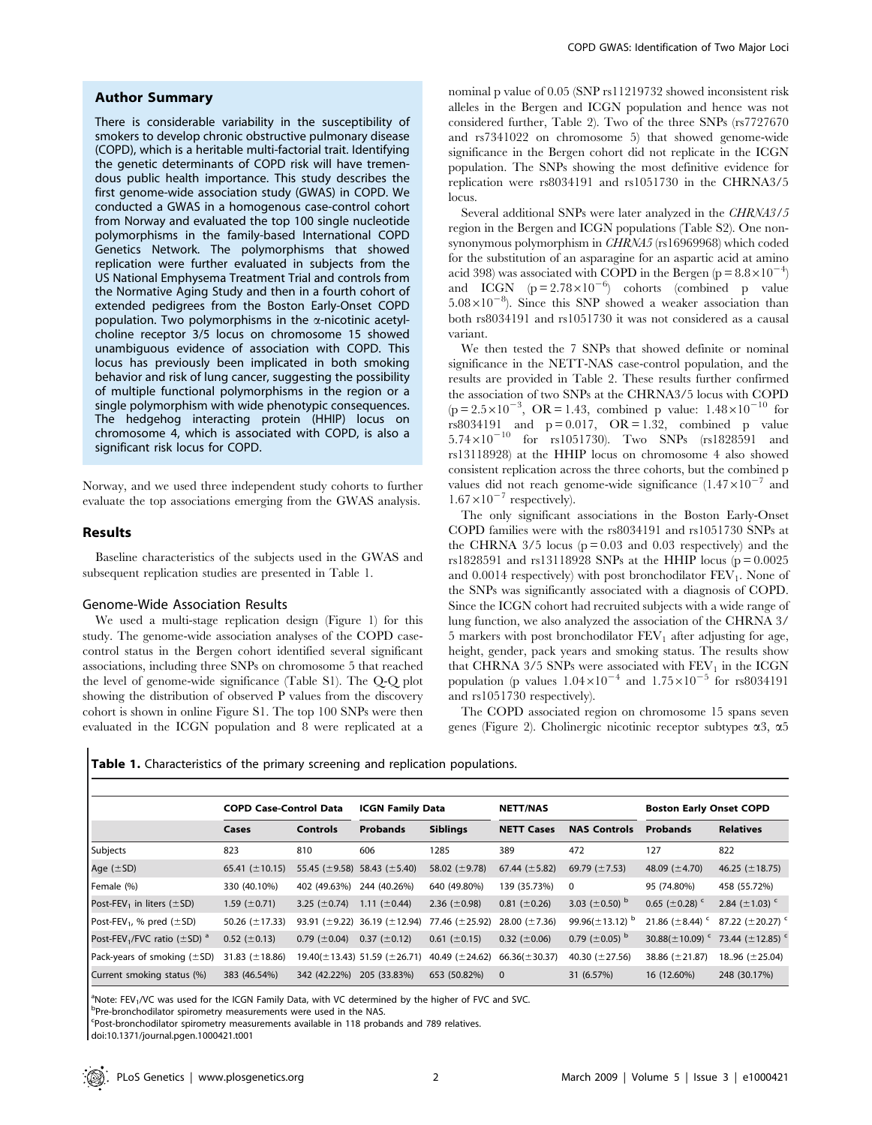## Author Summary

There is considerable variability in the susceptibility of smokers to develop chronic obstructive pulmonary disease (COPD), which is a heritable multi-factorial trait. Identifying the genetic determinants of COPD risk will have tremendous public health importance. This study describes the first genome-wide association study (GWAS) in COPD. We conducted a GWAS in a homogenous case-control cohort from Norway and evaluated the top 100 single nucleotide polymorphisms in the family-based International COPD Genetics Network. The polymorphisms that showed replication were further evaluated in subjects from the US National Emphysema Treatment Trial and controls from the Normative Aging Study and then in a fourth cohort of extended pedigrees from the Boston Early-Onset COPD population. Two polymorphisms in the  $\alpha$ -nicotinic acetylcholine receptor 3/5 locus on chromosome 15 showed unambiguous evidence of association with COPD. This locus has previously been implicated in both smoking behavior and risk of lung cancer, suggesting the possibility of multiple functional polymorphisms in the region or a single polymorphism with wide phenotypic consequences. The hedgehog interacting protein (HHIP) locus on chromosome 4, which is associated with COPD, is also a significant risk locus for COPD.

Norway, and we used three independent study cohorts to further evaluate the top associations emerging from the GWAS analysis.

## Results

Baseline characteristics of the subjects used in the GWAS and subsequent replication studies are presented in Table 1.

## Genome-Wide Association Results

We used a multi-stage replication design (Figure 1) for this study. The genome-wide association analyses of the COPD casecontrol status in the Bergen cohort identified several significant associations, including three SNPs on chromosome 5 that reached the level of genome-wide significance (Table S1). The Q-Q plot showing the distribution of observed P values from the discovery cohort is shown in online Figure S1. The top 100 SNPs were then evaluated in the ICGN population and 8 were replicated at a nominal p value of 0.05 (SNP rs11219732 showed inconsistent risk alleles in the Bergen and ICGN population and hence was not considered further, Table 2). Two of the three SNPs (rs7727670 and rs7341022 on chromosome 5) that showed genome-wide significance in the Bergen cohort did not replicate in the ICGN population. The SNPs showing the most definitive evidence for replication were rs8034191 and rs1051730 in the CHRNA3/5 locus.

Several additional SNPs were later analyzed in the CHRNA3/5 region in the Bergen and ICGN populations (Table S2). One nonsynonymous polymorphism in CHRNA5 (rs16969968) which coded for the substitution of an asparagine for an aspartic acid at amino acid 398) was associated with COPD in the Bergen (p =  $8.8 \times 10^{-4}$ ) and ICGN  $(p=2.78\times10^{-6})$  cohorts (combined p value  $5.08 \times 10^{-8}$ ). Since this SNP showed a weaker association than both rs8034191 and rs1051730 it was not considered as a causal variant.

We then tested the 7 SNPs that showed definite or nominal significance in the NETT-NAS case-control population, and the results are provided in Table 2. These results further confirmed the association of two SNPs at the CHRNA3/5 locus with COPD  $(p=2.5\times10^{-3}, \text{ OR }=1.43, \text{ combined } p \text{ value: } 1.48\times10^{-10} \text{ for }$ rs8034191 and  $p = 0.017$ , OR = 1.32, combined p value  $5.74 \times 10^{-10}$  for rs1051730). Two SNPs (rs1828591 and rs13118928) at the HHIP locus on chromosome 4 also showed consistent replication across the three cohorts, but the combined p values did not reach genome-wide significance  $(1.47\times10^{-7}$  and  $1.67\times10^{-7}$  respectively).

The only significant associations in the Boston Early-Onset COPD families were with the rs8034191 and rs1051730 SNPs at the CHRNA  $3/5$  locus ( $p = 0.03$  and 0.03 respectively) and the rs1828591 and rs13118928 SNPs at the HHIP locus ( $p = 0.0025$ ) and  $0.0014$  respectively) with post bronchodilator  $FEV<sub>1</sub>$ . None of the SNPs was significantly associated with a diagnosis of COPD. Since the ICGN cohort had recruited subjects with a wide range of lung function, we also analyzed the association of the CHRNA 3/ 5 markers with post bronchodilator  $FEV<sub>1</sub>$  after adjusting for age, height, gender, pack years and smoking status. The results show that CHRNA  $3/5$  SNPs were associated with  $FEV<sub>1</sub>$  in the ICGN population (p values  $1.04\times10^{-4}$  and  $1.75\times10^{-5}$  for rs8034191 and rs1051730 respectively).

The COPD associated region on chromosome 15 spans seven genes (Figure 2). Cholinergic nicotinic receptor subtypes  $\alpha$ 3,  $\alpha$ 5

Table 1. Characteristics of the primary screening and replication populations.

|                                                           | <b>COPD Case-Control Data</b> |                    | <b>ICGN Family Data</b>                  |                     | <b>NETT/NAS</b>    |                                  | <b>Boston Early Onset COPD</b>   |                                   |
|-----------------------------------------------------------|-------------------------------|--------------------|------------------------------------------|---------------------|--------------------|----------------------------------|----------------------------------|-----------------------------------|
|                                                           | Cases                         | <b>Controls</b>    | <b>Probands</b>                          | <b>Siblings</b>     | <b>NETT Cases</b>  | <b>NAS Controls</b>              | <b>Probands</b>                  | <b>Relatives</b>                  |
| Subjects                                                  | 823                           | 810                | 606                                      | 1285                | 389                | 472                              | 127                              | 822                               |
| Age $(\pm SD)$                                            | 65.41 $(\pm 10.15)$           |                    | 55.45 ( $\pm$ 9.58) 58.43 ( $\pm$ 5.40)  | 58.02 ( $\pm$ 9.78) | 67.44 $(\pm 5.82)$ | 69.79 $(\pm 7.53)$               | 48.09 $(\pm 4.70)$               | 46.25 $(\pm 18.75)$               |
| Female (%)                                                | 330 (40.10%)                  | 402 (49.63%)       | 244 (40.26%)                             | 640 (49.80%)        | 139 (35.73%)       | $\mathbf 0$                      | 95 (74.80%)                      | 458 (55.72%)                      |
| Post-FEV <sub>1</sub> in liters ( $\pm$ SD)               | 1.59 $(\pm 0.71)$             | 3.25 $(\pm 0.74)$  | 1.11 $(\pm 0.44)$                        | 2.36 $(\pm 0.98)$   | $0.81 (\pm 0.26)$  | 3.03 $(\pm 0.50)^{b}$            | 0.65 ( $\pm$ 0.28) <sup>c</sup>  | 2.84 $(\pm 1.03)$                 |
| Post-FEV <sub>1</sub> , % pred $(\pm SD)$                 | 50.26 $(\pm 17.33)$           |                    | 93.91 ( $\pm$ 9.22) 36.19 ( $\pm$ 12.94) | 77.46 (±25.92)      | 28.00 $(\pm 7.36)$ | 99.96( $\pm$ 13.12) <sup>b</sup> | 21.86 $(\pm 8.44)$               | 87.22 ( $\pm$ 20.27) <sup>c</sup> |
| Post-FEV <sub>1</sub> /FVC ratio ( $\pm$ SD) <sup>a</sup> | $0.52 \ (\pm 0.13)$           | 0.79 ( $\pm$ 0.04) | $0.37 \ (\pm 0.12)$                      | $0.61 (\pm 0.15)$   | 0.32 ( $\pm$ 0.06) | 0.79 ( $\pm$ 0.05) $^{\rm b}$    | 30.88( $\pm$ 10.09) <sup>c</sup> | 73.44 ( $\pm$ 12.85) <sup>c</sup> |
| Pack-years of smoking $(\pm SD)$                          | 31.83 $(\pm 18.86)$           |                    | $19.40(\pm 13.43)$ 51.59 ( $\pm$ 26.71)  | 40.49 $(\pm 24.62)$ | $66.36(\pm 30.37)$ | 40.30 $(\pm 27.56)$              | 38.86 $(\pm 21.87)$              | 18.96 $(\pm 25.04)$               |
| Current smoking status (%)                                | 383 (46.54%)                  | 342 (42.22%)       | 205 (33.83%)                             | 653 (50.82%)        | $\mathbf 0$        | 31 (6.57%)                       | 16 (12.60%)                      | 248 (30.17%)                      |

<sup>a</sup>Note: FEV<sub>1</sub>/VC was used for the ICGN Family Data, with VC determined by the higher of FVC and SVC.<br>Pare hranchodilater cairometry moscurements were used in the NAS

<sup>b</sup>Pre-bronchodilator spirometry measurements were used in the NAS.

Post-bronchodilator spirometry measurements available in 118 probands and 789 relatives.

doi:10.1371/journal.pgen.1000421.t001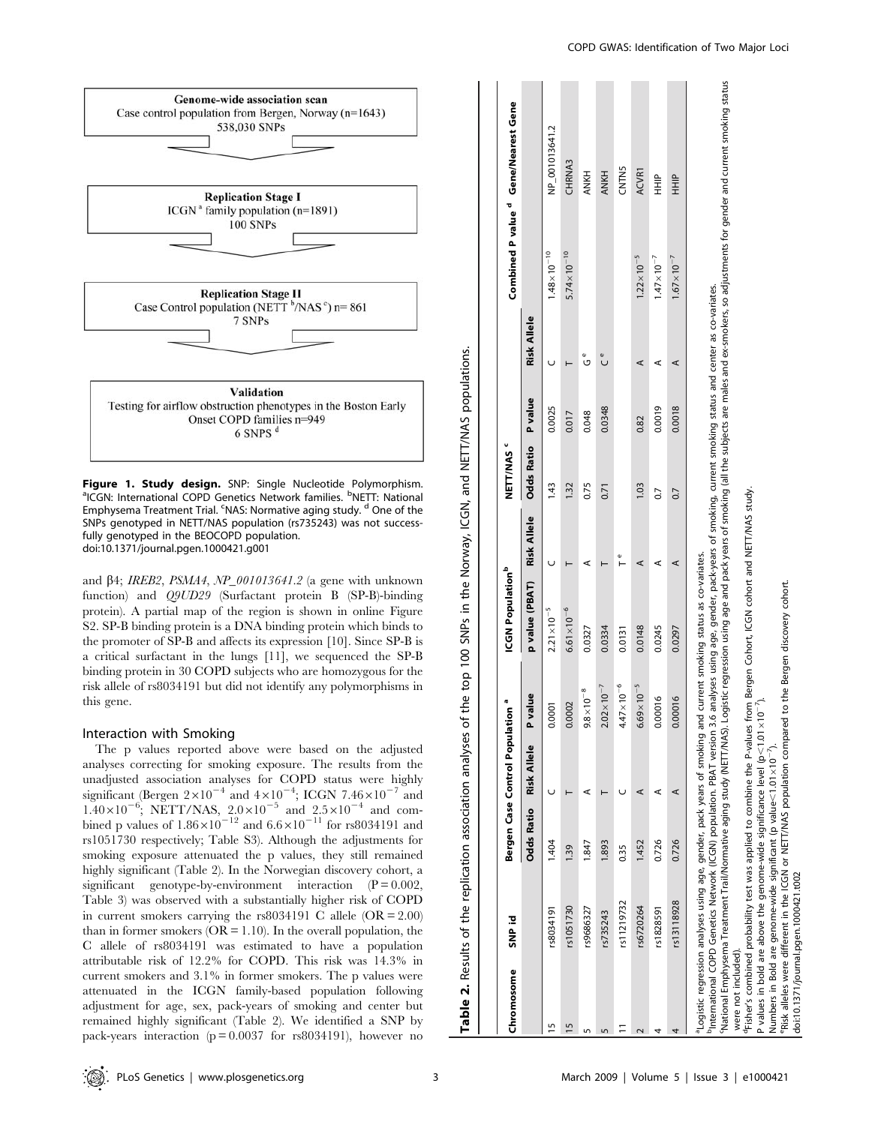

Figure 1. Study design. SNP: Single Nucleotide Polymorphism. ICGN: International COPD Genetics Network families. <sup>b</sup>NETT: National Emphysema Treatment Trial. <sup>c</sup>NAS: Normative aging study. <sup>d</sup> One of the SNPs genotyped in NETT/NAS population (rs735243) was not successfully genotyped in the BEOCOPD population. doi:10.1371/journal.pgen.1000421.g001

and  $\beta$ 4; IREB2, PSMA4, NP\_001013641.2 (a gene with unknown function) and Q9UD29 (Surfactant protein B (SP-B)-binding protein). A partial map of the region is shown in online Figure S2. SP-B binding protein is a DNA binding protein which binds to the promoter of SP-B and affects its expression [10]. Since SP-B is a critical surfactant in the lungs [11], we sequenced the SP-B binding protein in 30 COPD subjects who are homozygous for the risk allele of rs8034191 but did not identify any polymorphisms in this gene.

#### Interaction with Smoking

The p values reported above were based on the adjusted analyses correcting for smoking exposure. The results from the unadjusted association analyses for COPD status were highly significant (Bergen  $2\times10^{-4}$  and  $4\times10^{-4}$ ; ICGN 7.46 $\times10^{-7}$  and  $1.40\times10^{-6}$ ; NETT/NAS,  $2.0\times10^{-5}$  and  $2.5\times10^{-4}$  and combined p values of  $1.86\times10^{-12}$  and  $6.6\times10^{-11}$  for rs8034191 and rs1051730 respectively; Table S3). Although the adjustments for smoking exposure attenuated the p values, they still remained highly significant (Table 2). In the Norwegian discovery cohort, a significant genotype-by-environment interaction  $(P = 0.002,$ Table 3) was observed with a substantially higher risk of COPD in current smokers carrying the rs8034191 C allele  $(OR = 2.00)$ than in former smokers ( $OR = 1.10$ ). In the overall population, the C allele of rs8034191 was estimated to have a population attributable risk of 12.2% for COPD. This risk was 14.3% in current smokers and 3.1% in former smokers. The p values were attenuated in the ICGN family-based population following adjustment for age, sex, pack-years of smoking and center but remained highly significant (Table 2). We identified a SNP by pack-years interaction ( $p = 0.0037$  for rs8034191), however no

| Chromosome          | <b>SNP</b> id                                                                                                                                                                                                                                                                                                                                                                                                                                                                                                                                                                                                                                                                                                                                                                     |                   | Bergen Case Control Population |                          | <b>ICGN Population</b> b               |             | NETT/NAS <sup>c</sup> |         |                    |                        | Combined P value <sup>d</sup> Gene/Nearest Gene                                                                                                        |
|---------------------|-----------------------------------------------------------------------------------------------------------------------------------------------------------------------------------------------------------------------------------------------------------------------------------------------------------------------------------------------------------------------------------------------------------------------------------------------------------------------------------------------------------------------------------------------------------------------------------------------------------------------------------------------------------------------------------------------------------------------------------------------------------------------------------|-------------------|--------------------------------|--------------------------|----------------------------------------|-------------|-----------------------|---------|--------------------|------------------------|--------------------------------------------------------------------------------------------------------------------------------------------------------|
|                     |                                                                                                                                                                                                                                                                                                                                                                                                                                                                                                                                                                                                                                                                                                                                                                                   | <b>Odds Ratio</b> | <b>Risk Allele</b>             | P value                  | p value (PBAT)                         | Risk Allele | <b>Odds Ratio</b>     | P value | <b>Risk Allele</b> |                        |                                                                                                                                                        |
| 5                   | rs8034191                                                                                                                                                                                                                                                                                                                                                                                                                                                                                                                                                                                                                                                                                                                                                                         | 1.404             |                                | 0.0001                   | $2.21 \times 10^{-5}$                  |             | 1.43                  | 0.0025  |                    | $1.48 \times 10^{-10}$ | NP_001013641.2                                                                                                                                         |
| 5                   | rs1051730                                                                                                                                                                                                                                                                                                                                                                                                                                                                                                                                                                                                                                                                                                                                                                         | 1.39              |                                | 0.0002                   | $6.61 \times 10^{-6}$                  |             | 1.32                  | 0.017   |                    | $5.74 \times 10^{-10}$ | CHRNA3                                                                                                                                                 |
|                     | rs9686327                                                                                                                                                                                                                                                                                                                                                                                                                                                                                                                                                                                                                                                                                                                                                                         | 1.847             |                                | $9.8 \times 10^{-8}$     | 0.0327                                 | ⋖           | 0.75                  | 0.048   | O                  |                        | <b>ANKH</b>                                                                                                                                            |
|                     | rs735243                                                                                                                                                                                                                                                                                                                                                                                                                                                                                                                                                                                                                                                                                                                                                                          | 1.893             |                                | $2.02 \times 10^{-7}$    | 0.0334                                 |             | 0.71                  | 0.0348  | ں<br>ں             |                        | <b>ANKH</b>                                                                                                                                            |
|                     | rs11219732                                                                                                                                                                                                                                                                                                                                                                                                                                                                                                                                                                                                                                                                                                                                                                        | 0.35              |                                | $4.47 \times 10^{-6}$    | 0.0131                                 | Φ           |                       |         |                    |                        | <b>CNTN5</b>                                                                                                                                           |
|                     | rs6720264                                                                                                                                                                                                                                                                                                                                                                                                                                                                                                                                                                                                                                                                                                                                                                         | 1.452             | ⊄                              | $\times 10^{-5}$<br>6.69 | 0.0148                                 | ⋖           | 1.03                  | 0.82    | ⋖                  | $1.22 \times 10^{-5}$  | <b>ACVR1</b>                                                                                                                                           |
|                     | rs1828591                                                                                                                                                                                                                                                                                                                                                                                                                                                                                                                                                                                                                                                                                                                                                                         | 0.726             | ⊄                              | 0.00016                  | 0.0245                                 | ⋖           | $\overline{0}$        | 0.0019  | ⋖                  | $1.47 \times 10^{-7}$  | $\frac{1}{2}$                                                                                                                                          |
|                     | rs13118928                                                                                                                                                                                                                                                                                                                                                                                                                                                                                                                                                                                                                                                                                                                                                                        | 0.726             | ⋖                              | 0.00016                  | 0.0297                                 | ⋖           | 0.7                   | 0.0018  | ⋖                  | $1.67 \times 10^{-7}$  | $\frac{P}{T}$                                                                                                                                          |
| were not included). | nternational COPD Genetics Network (ICGN) population. PBAT version 3.6 analyses using age, gender, pack-years of smoking, current smoking status and center as co-variates.<br><sup>r</sup> Fisher's combined probability test was applied to combine the P-values from Bergen Cohort, ICGN cohort and NETT/MAS study.<br>P values in bold are above the genome-wide significance level (p< 1.01 x10 <sup>-7</sup> ).<br>Risk alleles were different in the ICGN or NETT/NAS population compared to the Bergen discovery cohort.<br>National Emphysema Treatment Trail/Normative aging study (NETT/NAS). Log<br>Logistic regression analyses using age, gender, pack years of smoking and<br>Numbers in Bold are genome-wide significant (p value $<$ 1.01 $\times$ 10 $^{-7}$ ). |                   |                                |                          | current smoking status as co-variates. |             |                       |         |                    |                        | jistic regression using age and pack years of smoking (all the subjects are males and ex-smokers, so adjustments for gender and current smoking status |

Table 2.

Table 2. Results of the replication association analyses of the top 100 SNPs in the Norway, ICGN, and NETT/NAS populations.

Results of the replication association analyses of the top 100 SNPs in the Norway, ICGN, and NETT/NAS populations.

doi:10.1371/journal.pgen.1000421.t002

doi:10.1371/journal.pgen.1000421.t002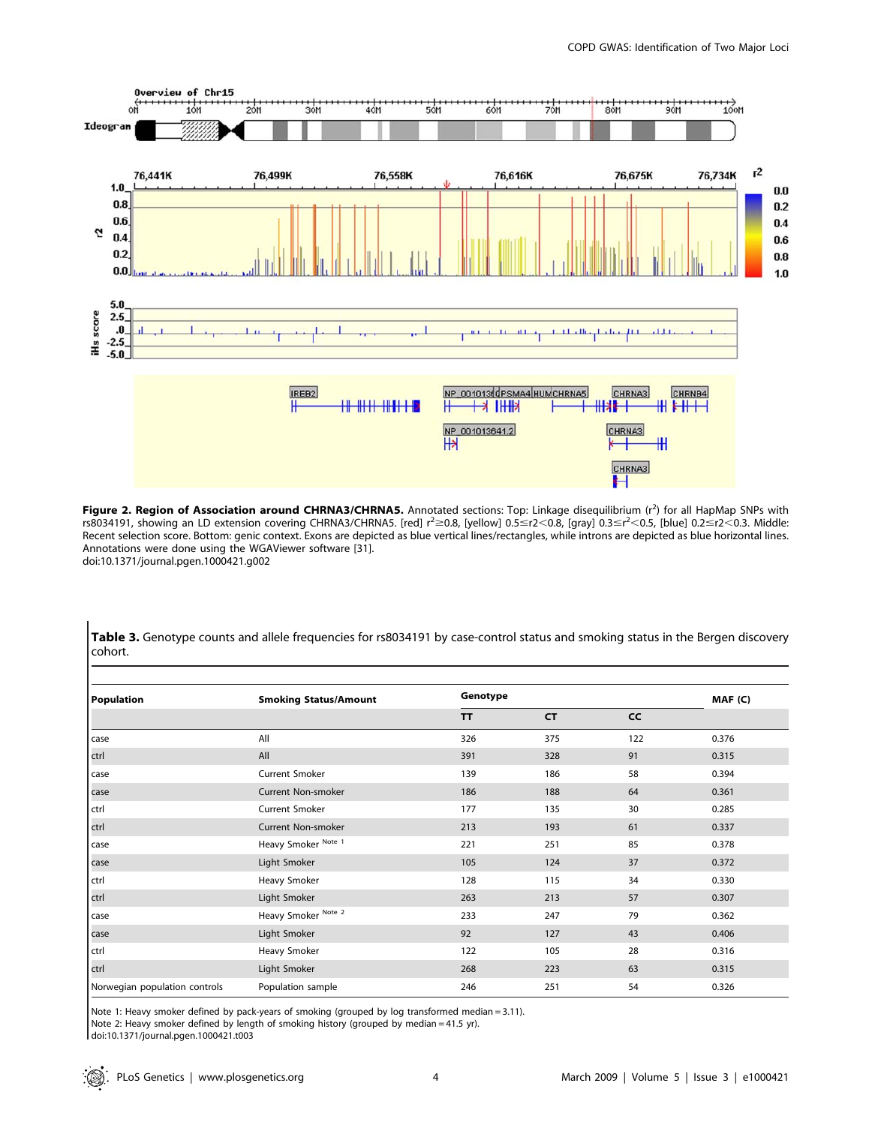

Figure 2. Region of Association around CHRNA3/CHRNA5. Annotated sections: Top: Linkage disequilibrium (r<sup>2</sup>) for all HapMap SNPs with rs8034191, showing an LD extension covering CHRNA3/CHRNA5. [red] r<sup>2</sup>≥0.8, [yellow] 0.5≤r2<0.8, [gray] 0.3≤r<sup>2</sup><0.5, [blue] 0.2≤r2<0.3. Middle: Recent selection score. Bottom: genic context. Exons are depicted as blue vertical lines/rectangles, while introns are depicted as blue horizontal lines. Annotations were done using the WGAViewer software [31].

doi:10.1371/journal.pgen.1000421.g002

Table 3. Genotype counts and allele frequencies for rs8034191 by case-control status and smoking status in the Bergen discovery cohort.

| <b>Population</b>             | <b>Smoking Status/Amount</b> | Genotype  |           |           | MAF (C) |
|-------------------------------|------------------------------|-----------|-----------|-----------|---------|
|                               |                              | <b>TT</b> | <b>CT</b> | <b>CC</b> |         |
| case                          | All                          | 326       | 375       | 122       | 0.376   |
| ctrl                          | All                          | 391       | 328       | 91        | 0.315   |
| case                          | Current Smoker               | 139       | 186       | 58        | 0.394   |
| case                          | <b>Current Non-smoker</b>    | 186       | 188       | 64        | 0.361   |
| ctrl                          | Current Smoker               | 177       | 135       | 30        | 0.285   |
| ctrl                          | Current Non-smoker           | 213       | 193       | 61        | 0.337   |
| case                          | Heavy Smoker Note 1          | 221       | 251       | 85        | 0.378   |
| case                          | Light Smoker                 | 105       | 124       | 37        | 0.372   |
| ctrl                          | Heavy Smoker                 | 128       | 115       | 34        | 0.330   |
| ctrl                          | Light Smoker                 | 263       | 213       | 57        | 0.307   |
| case                          | Heavy Smoker Note 2          | 233       | 247       | 79        | 0.362   |
| case                          | Light Smoker                 | 92        | 127       | 43        | 0.406   |
| ctrl                          | Heavy Smoker                 | 122       | 105       | 28        | 0.316   |
| ctrl                          | Light Smoker                 | 268       | 223       | 63        | 0.315   |
| Norwegian population controls | Population sample            | 246       | 251       | 54        | 0.326   |

Note 1: Heavy smoker defined by pack-years of smoking (grouped by log transformed median = 3.11).

Note 2: Heavy smoker defined by length of smoking history (grouped by median = 41.5 yr).

doi:10.1371/journal.pgen.1000421.t003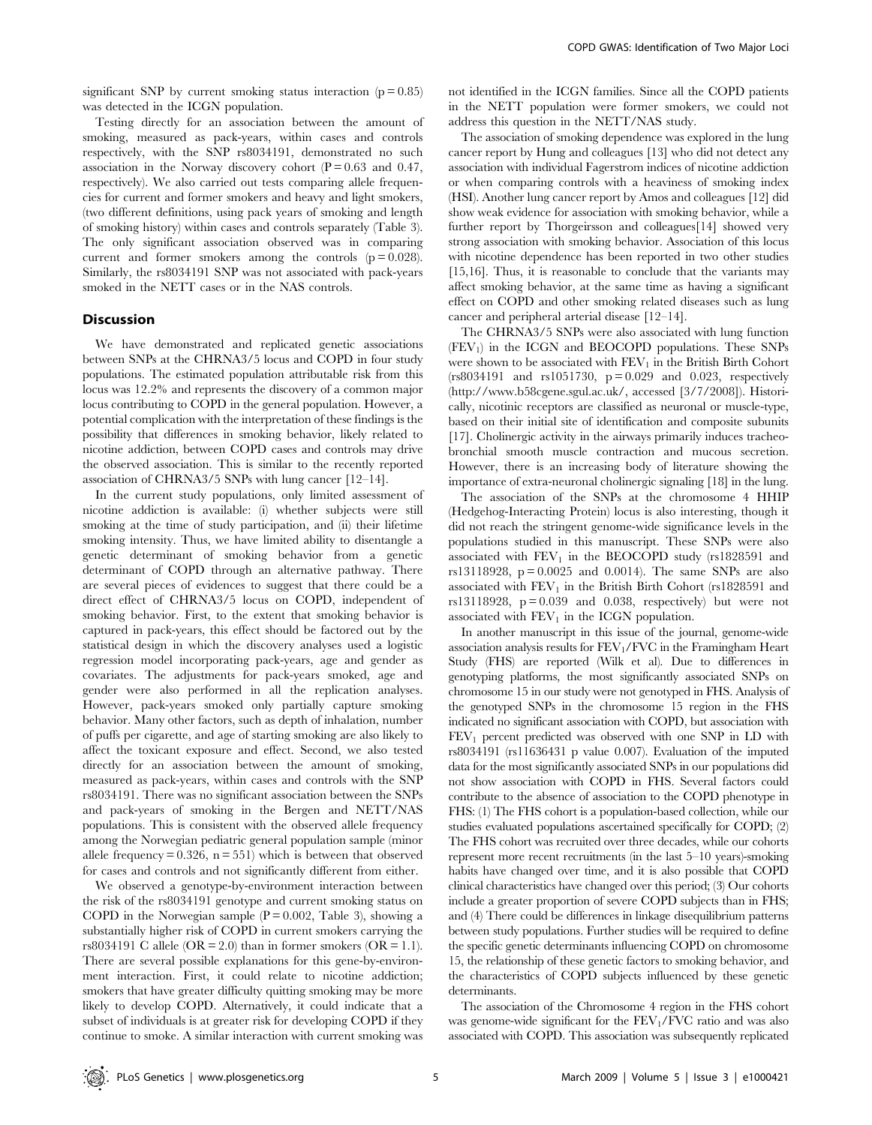Testing directly for an association between the amount of smoking, measured as pack-years, within cases and controls respectively, with the SNP rs8034191, demonstrated no such association in the Norway discovery cohort  $(P = 0.63$  and 0.47, respectively). We also carried out tests comparing allele frequencies for current and former smokers and heavy and light smokers, (two different definitions, using pack years of smoking and length of smoking history) within cases and controls separately (Table 3). The only significant association observed was in comparing current and former smokers among the controls  $(p = 0.028)$ . Similarly, the rs8034191 SNP was not associated with pack-years smoked in the NETT cases or in the NAS controls.

## Discussion

We have demonstrated and replicated genetic associations between SNPs at the CHRNA3/5 locus and COPD in four study populations. The estimated population attributable risk from this locus was 12.2% and represents the discovery of a common major locus contributing to COPD in the general population. However, a potential complication with the interpretation of these findings is the possibility that differences in smoking behavior, likely related to nicotine addiction, between COPD cases and controls may drive the observed association. This is similar to the recently reported association of CHRNA3/5 SNPs with lung cancer [12–14].

In the current study populations, only limited assessment of nicotine addiction is available: (i) whether subjects were still smoking at the time of study participation, and (ii) their lifetime smoking intensity. Thus, we have limited ability to disentangle a genetic determinant of smoking behavior from a genetic determinant of COPD through an alternative pathway. There are several pieces of evidences to suggest that there could be a direct effect of CHRNA3/5 locus on COPD, independent of smoking behavior. First, to the extent that smoking behavior is captured in pack-years, this effect should be factored out by the statistical design in which the discovery analyses used a logistic regression model incorporating pack-years, age and gender as covariates. The adjustments for pack-years smoked, age and gender were also performed in all the replication analyses. However, pack-years smoked only partially capture smoking behavior. Many other factors, such as depth of inhalation, number of puffs per cigarette, and age of starting smoking are also likely to affect the toxicant exposure and effect. Second, we also tested directly for an association between the amount of smoking, measured as pack-years, within cases and controls with the SNP rs8034191. There was no significant association between the SNPs and pack-years of smoking in the Bergen and NETT/NAS populations. This is consistent with the observed allele frequency among the Norwegian pediatric general population sample (minor allele frequency =  $0.326$ , n =  $551$ ) which is between that observed for cases and controls and not significantly different from either.

We observed a genotype-by-environment interaction between the risk of the rs8034191 genotype and current smoking status on COPD in the Norwegian sample  $(P = 0.002,$  Table 3), showing a substantially higher risk of COPD in current smokers carrying the rs8034191 C allele (OR = 2.0) than in former smokers (OR = 1.1). There are several possible explanations for this gene-by-environment interaction. First, it could relate to nicotine addiction; smokers that have greater difficulty quitting smoking may be more likely to develop COPD. Alternatively, it could indicate that a subset of individuals is at greater risk for developing COPD if they continue to smoke. A similar interaction with current smoking was

not identified in the ICGN families. Since all the COPD patients in the NETT population were former smokers, we could not address this question in the NETT/NAS study.

The association of smoking dependence was explored in the lung cancer report by Hung and colleagues [13] who did not detect any association with individual Fagerstrom indices of nicotine addiction or when comparing controls with a heaviness of smoking index (HSI). Another lung cancer report by Amos and colleagues [12] did show weak evidence for association with smoking behavior, while a further report by Thorgeirsson and colleagues[14] showed very strong association with smoking behavior. Association of this locus with nicotine dependence has been reported in two other studies [15,16]. Thus, it is reasonable to conclude that the variants may affect smoking behavior, at the same time as having a significant effect on COPD and other smoking related diseases such as lung cancer and peripheral arterial disease [12–14].

The CHRNA3/5 SNPs were also associated with lung function  $(FEV<sub>1</sub>)$  in the ICGN and BEOCOPD populations. These SNPs were shown to be associated with  $FEV<sub>1</sub>$  in the British Birth Cohort (rs8034191 and rs1051730, p = 0.029 and 0.023, respectively (http://www.b58cgene.sgul.ac.uk/, accessed [3/7/2008]). Historically, nicotinic receptors are classified as neuronal or muscle-type, based on their initial site of identification and composite subunits [17]. Cholinergic activity in the airways primarily induces tracheobronchial smooth muscle contraction and mucous secretion. However, there is an increasing body of literature showing the importance of extra-neuronal cholinergic signaling [18] in the lung.

The association of the SNPs at the chromosome 4 HHIP (Hedgehog-Interacting Protein) locus is also interesting, though it did not reach the stringent genome-wide significance levels in the populations studied in this manuscript. These SNPs were also associated with  $FEV<sub>1</sub>$  in the BEOCOPD study (rs1828591 and rs13118928, p = 0.0025 and 0.0014). The same SNPs are also associated with  $FEV_1$  in the British Birth Cohort (rs1828591 and rs13118928,  $p = 0.039$  and 0.038, respectively) but were not associated with  $FEV<sub>1</sub>$  in the ICGN population.

In another manuscript in this issue of the journal, genome-wide association analysis results for  $FEV<sub>1</sub>/FVC$  in the Framingham Heart Study (FHS) are reported (Wilk et al). Due to differences in genotyping platforms, the most significantly associated SNPs on chromosome 15 in our study were not genotyped in FHS. Analysis of the genotyped SNPs in the chromosome 15 region in the FHS indicated no significant association with COPD, but association with  $FEV<sub>1</sub>$  percent predicted was observed with one SNP in LD with rs8034191 (rs11636431 p value 0.007). Evaluation of the imputed data for the most significantly associated SNPs in our populations did not show association with COPD in FHS. Several factors could contribute to the absence of association to the COPD phenotype in FHS: (1) The FHS cohort is a population-based collection, while our studies evaluated populations ascertained specifically for COPD; (2) The FHS cohort was recruited over three decades, while our cohorts represent more recent recruitments (in the last 5–10 years)-smoking habits have changed over time, and it is also possible that COPD clinical characteristics have changed over this period; (3) Our cohorts include a greater proportion of severe COPD subjects than in FHS; and (4) There could be differences in linkage disequilibrium patterns between study populations. Further studies will be required to define the specific genetic determinants influencing COPD on chromosome 15, the relationship of these genetic factors to smoking behavior, and the characteristics of COPD subjects influenced by these genetic determinants.

The association of the Chromosome 4 region in the FHS cohort was genome-wide significant for the  $FEV_1/FVC$  ratio and was also associated with COPD. This association was subsequently replicated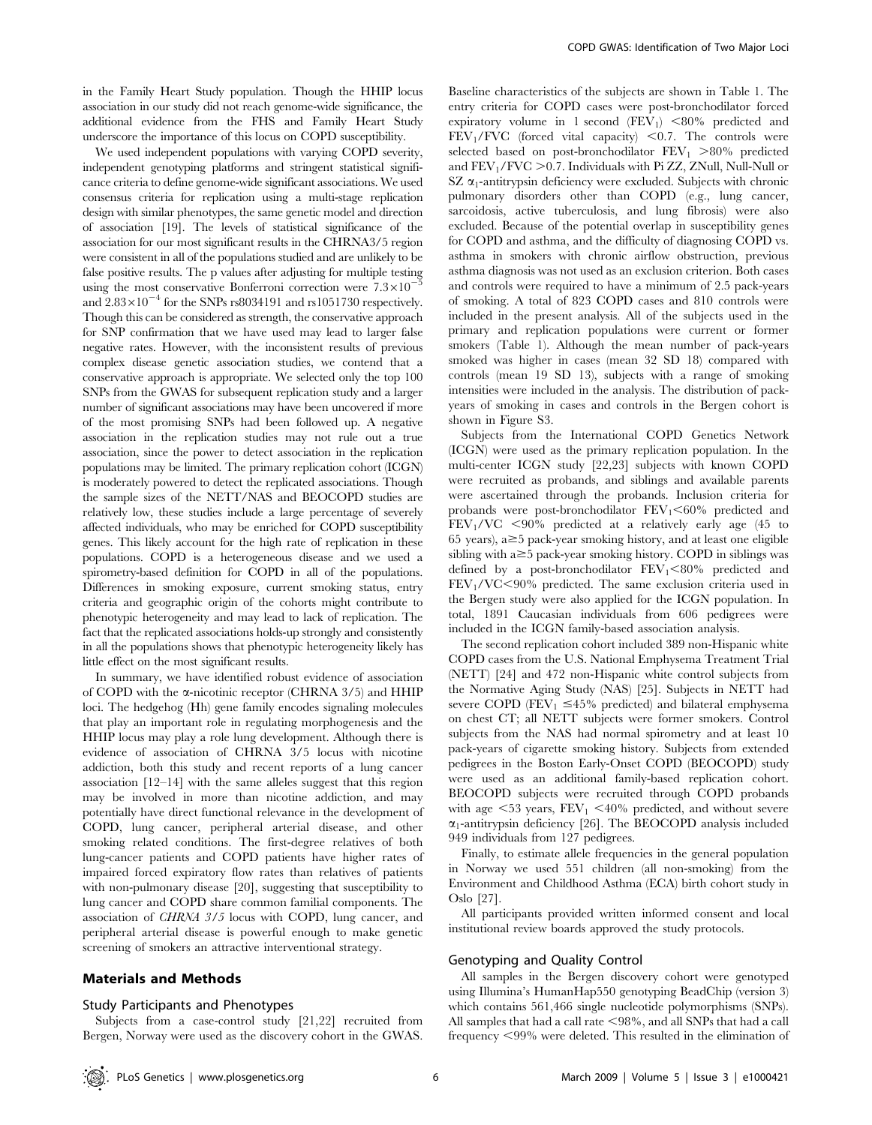in the Family Heart Study population. Though the HHIP locus association in our study did not reach genome-wide significance, the additional evidence from the FHS and Family Heart Study underscore the importance of this locus on COPD susceptibility.

We used independent populations with varying COPD severity, independent genotyping platforms and stringent statistical significance criteria to define genome-wide significant associations. We used consensus criteria for replication using a multi-stage replication design with similar phenotypes, the same genetic model and direction of association [19]. The levels of statistical significance of the association for our most significant results in the CHRNA3/5 region were consistent in all of the populations studied and are unlikely to be false positive results. The p values after adjusting for multiple testing using the most conservative Bonferroni correction were  $7.3 \times 10^{-7}$ and  $2.83 \times 10^{-4}$  for the SNPs rs8034191 and rs1051730 respectively. Though this can be considered as strength, the conservative approach for SNP confirmation that we have used may lead to larger false negative rates. However, with the inconsistent results of previous complex disease genetic association studies, we contend that a conservative approach is appropriate. We selected only the top 100 SNPs from the GWAS for subsequent replication study and a larger number of significant associations may have been uncovered if more of the most promising SNPs had been followed up. A negative association in the replication studies may not rule out a true association, since the power to detect association in the replication populations may be limited. The primary replication cohort (ICGN) is moderately powered to detect the replicated associations. Though the sample sizes of the NETT/NAS and BEOCOPD studies are relatively low, these studies include a large percentage of severely affected individuals, who may be enriched for COPD susceptibility genes. This likely account for the high rate of replication in these populations. COPD is a heterogeneous disease and we used a spirometry-based definition for COPD in all of the populations. Differences in smoking exposure, current smoking status, entry criteria and geographic origin of the cohorts might contribute to phenotypic heterogeneity and may lead to lack of replication. The fact that the replicated associations holds-up strongly and consistently in all the populations shows that phenotypic heterogeneity likely has little effect on the most significant results.

In summary, we have identified robust evidence of association of COPD with the  $\alpha$ -nicotinic receptor (CHRNA 3/5) and HHIP loci. The hedgehog (Hh) gene family encodes signaling molecules that play an important role in regulating morphogenesis and the HHIP locus may play a role lung development. Although there is evidence of association of CHRNA 3/5 locus with nicotine addiction, both this study and recent reports of a lung cancer association [12–14] with the same alleles suggest that this region may be involved in more than nicotine addiction, and may potentially have direct functional relevance in the development of COPD, lung cancer, peripheral arterial disease, and other smoking related conditions. The first-degree relatives of both lung-cancer patients and COPD patients have higher rates of impaired forced expiratory flow rates than relatives of patients with non-pulmonary disease [20], suggesting that susceptibility to lung cancer and COPD share common familial components. The association of CHRNA 3/5 locus with COPD, lung cancer, and peripheral arterial disease is powerful enough to make genetic screening of smokers an attractive interventional strategy.

## Materials and Methods

#### Study Participants and Phenotypes

Subjects from a case-control study [21,22] recruited from Bergen, Norway were used as the discovery cohort in the GWAS.

Baseline characteristics of the subjects are shown in Table 1. The entry criteria for COPD cases were post-bronchodilator forced expiratory volume in 1 second  $(FEV_1)$  <80% predicted and  $FEV<sub>1</sub>/FVC$  (forced vital capacity) <0.7. The controls were selected based on post-bronchodilator  $FEV_1 > 80\%$  predicted and  $FEV<sub>1</sub>/FVC > 0.7$ . Individuals with Pi ZZ, ZNull, Null-Null or SZ  $\alpha_1$ -antitrypsin deficiency were excluded. Subjects with chronic pulmonary disorders other than COPD (e.g., lung cancer, sarcoidosis, active tuberculosis, and lung fibrosis) were also excluded. Because of the potential overlap in susceptibility genes for COPD and asthma, and the difficulty of diagnosing COPD vs. asthma in smokers with chronic airflow obstruction, previous asthma diagnosis was not used as an exclusion criterion. Both cases and controls were required to have a minimum of 2.5 pack-years of smoking. A total of 823 COPD cases and 810 controls were included in the present analysis. All of the subjects used in the primary and replication populations were current or former smokers (Table 1). Although the mean number of pack-years smoked was higher in cases (mean 32 SD 18) compared with controls (mean 19 SD 13), subjects with a range of smoking intensities were included in the analysis. The distribution of packyears of smoking in cases and controls in the Bergen cohort is shown in Figure S3.

Subjects from the International COPD Genetics Network (ICGN) were used as the primary replication population. In the multi-center ICGN study [22,23] subjects with known COPD were recruited as probands, and siblings and available parents were ascertained through the probands. Inclusion criteria for probands were post-bronchodilator  $FEV_1<60%$  predicted and  $FEV<sub>1</sub>/VC$  <90% predicted at a relatively early age (45 to 65 years),  $a \ge 5$  pack-year smoking history, and at least one eligible sibling with  $a \geq 5$  pack-year smoking history. COPD in siblings was defined by a post-bronchodilator  $FEV_1 < 80\%$  predicted and  $FEV<sub>1</sub>/VC<90%$  predicted. The same exclusion criteria used in the Bergen study were also applied for the ICGN population. In total, 1891 Caucasian individuals from 606 pedigrees were included in the ICGN family-based association analysis.

The second replication cohort included 389 non-Hispanic white COPD cases from the U.S. National Emphysema Treatment Trial (NETT) [24] and 472 non-Hispanic white control subjects from the Normative Aging Study (NAS) [25]. Subjects in NETT had severe COPD (FEV<sub>1</sub>  $\leq$ 45% predicted) and bilateral emphysema on chest CT; all NETT subjects were former smokers. Control subjects from the NAS had normal spirometry and at least 10 pack-years of cigarette smoking history. Subjects from extended pedigrees in the Boston Early-Onset COPD (BEOCOPD) study were used as an additional family-based replication cohort. BEOCOPD subjects were recruited through COPD probands with age  $\leq$ 53 years,  $\text{FEV}_1 \leq 40\%$  predicted, and without severe  $\alpha_1$ -antitrypsin deficiency [26]. The BEOCOPD analysis included 949 individuals from 127 pedigrees.

Finally, to estimate allele frequencies in the general population in Norway we used 551 children (all non-smoking) from the Environment and Childhood Asthma (ECA) birth cohort study in Oslo [27].

All participants provided written informed consent and local institutional review boards approved the study protocols.

#### Genotyping and Quality Control

All samples in the Bergen discovery cohort were genotyped using Illumina's HumanHap550 genotyping BeadChip (version 3) which contains 561,466 single nucleotide polymorphisms (SNPs). All samples that had a call rate  $\leq$ 98%, and all SNPs that had a call frequency  $\leq$ 99% were deleted. This resulted in the elimination of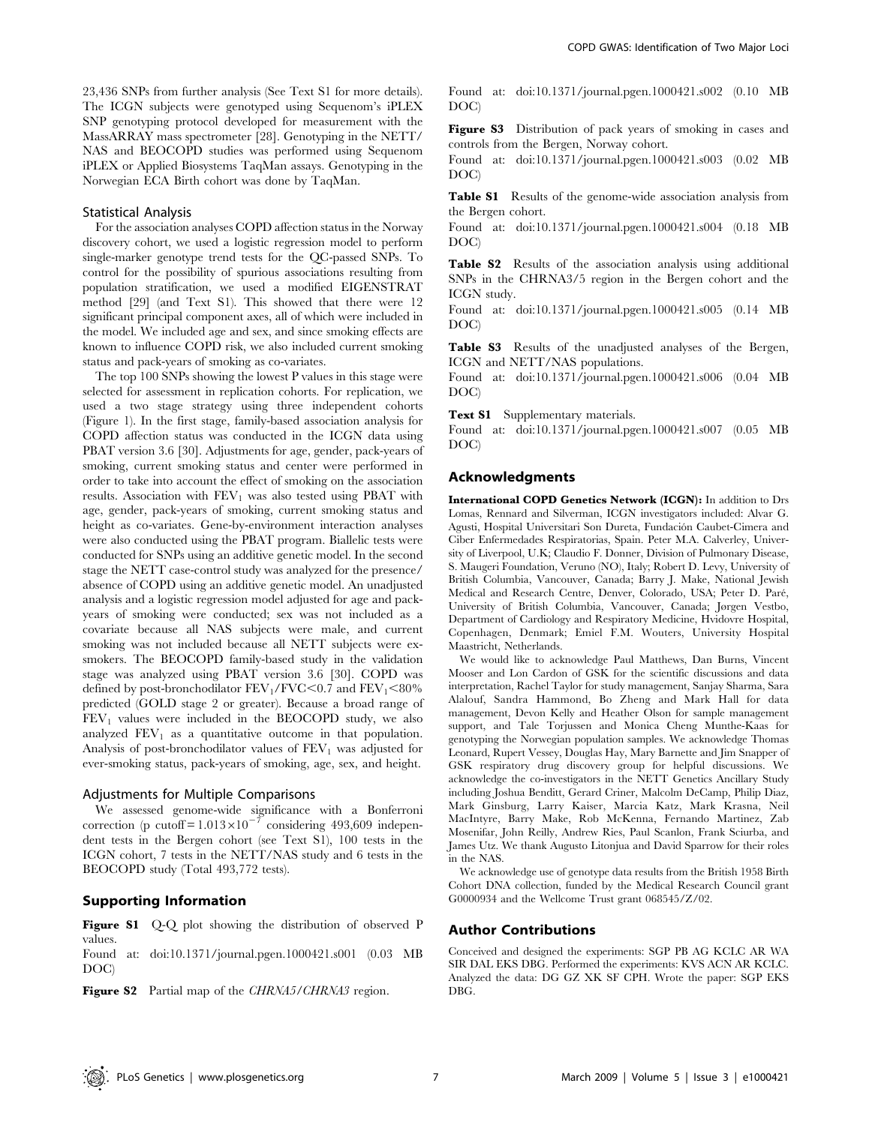23,436 SNPs from further analysis (See Text S1 for more details). The ICGN subjects were genotyped using Sequenom's iPLEX SNP genotyping protocol developed for measurement with the MassARRAY mass spectrometer [28]. Genotyping in the NETT/ NAS and BEOCOPD studies was performed using Sequenom iPLEX or Applied Biosystems TaqMan assays. Genotyping in the Norwegian ECA Birth cohort was done by TaqMan.

#### Statistical Analysis

For the association analyses COPD affection status in the Norway discovery cohort, we used a logistic regression model to perform single-marker genotype trend tests for the QC-passed SNPs. To control for the possibility of spurious associations resulting from population stratification, we used a modified EIGENSTRAT method [29] (and Text S1). This showed that there were 12 significant principal component axes, all of which were included in the model. We included age and sex, and since smoking effects are known to influence COPD risk, we also included current smoking status and pack-years of smoking as co-variates.

The top 100 SNPs showing the lowest P values in this stage were selected for assessment in replication cohorts. For replication, we used a two stage strategy using three independent cohorts (Figure 1). In the first stage, family-based association analysis for COPD affection status was conducted in the ICGN data using PBAT version 3.6 [30]. Adjustments for age, gender, pack-years of smoking, current smoking status and center were performed in order to take into account the effect of smoking on the association results. Association with  $\text{FEV}_1$  was also tested using PBAT with age, gender, pack-years of smoking, current smoking status and height as co-variates. Gene-by-environment interaction analyses were also conducted using the PBAT program. Biallelic tests were conducted for SNPs using an additive genetic model. In the second stage the NETT case-control study was analyzed for the presence/ absence of COPD using an additive genetic model. An unadjusted analysis and a logistic regression model adjusted for age and packyears of smoking were conducted; sex was not included as a covariate because all NAS subjects were male, and current smoking was not included because all NETT subjects were exsmokers. The BEOCOPD family-based study in the validation stage was analyzed using PBAT version 3.6 [30]. COPD was defined by post-bronchodilator  $FEV_1/FVC<0.7$  and  $FEV_1<80%$ predicted (GOLD stage 2 or greater). Because a broad range of  $FEV<sub>1</sub>$  values were included in the BEOCOPD study, we also analyzed  $FEV<sub>1</sub>$  as a quantitative outcome in that population. Analysis of post-bronchodilator values of  $FEV<sub>1</sub>$  was adjusted for ever-smoking status, pack-years of smoking, age, sex, and height.

#### Adjustments for Multiple Comparisons

We assessed genome-wide significance with a Bonferroni correction (p cutoff =  $1.013 \times 10^{-7}$  considering 493,609 independent tests in the Bergen cohort (see Text S1), 100 tests in the ICGN cohort, 7 tests in the NETT/NAS study and 6 tests in the BEOCOPD study (Total 493,772 tests).

## Supporting Information

Figure S1 Q-Q plot showing the distribution of observed P values.

Found at: doi:10.1371/journal.pgen.1000421.s001 (0.03 MB DOC)

Figure S2 Partial map of the CHRNA5/CHRNA3 region.

Found at: doi:10.1371/journal.pgen.1000421.s002 (0.10 MB DOC)

Figure S3 Distribution of pack years of smoking in cases and controls from the Bergen, Norway cohort.

Found at: doi:10.1371/journal.pgen.1000421.s003 (0.02 MB DOC)

Table S1 Results of the genome-wide association analysis from the Bergen cohort.

Found at: doi:10.1371/journal.pgen.1000421.s004 (0.18 MB DOC)

Table S2 Results of the association analysis using additional SNPs in the CHRNA3/5 region in the Bergen cohort and the ICGN study.

Found at: doi:10.1371/journal.pgen.1000421.s005 (0.14 MB DOC)

Table S3 Results of the unadjusted analyses of the Bergen, ICGN and NETT/NAS populations.

Found at: doi:10.1371/journal.pgen.1000421.s006 (0.04 MB DOC)

Text S1 Supplementary materials.

Found at: doi:10.1371/journal.pgen.1000421.s007 (0.05 MB DOC)

#### Acknowledgments

International COPD Genetics Network (ICGN): In addition to Drs Lomas, Rennard and Silverman, ICGN investigators included: Alvar G. Agusti, Hospital Universitari Son Dureta, Fundación Caubet-Cimera and Ciber Enfermedades Respiratorias, Spain. Peter M.A. Calverley, University of Liverpool, U.K; Claudio F. Donner, Division of Pulmonary Disease, S. Maugeri Foundation, Veruno (NO), Italy; Robert D. Levy, University of British Columbia, Vancouver, Canada; Barry J. Make, National Jewish Medical and Research Centre, Denver, Colorado, USA; Peter D. Paré, University of British Columbia, Vancouver, Canada; Jørgen Vestbo, Department of Cardiology and Respiratory Medicine, Hvidovre Hospital, Copenhagen, Denmark; Emiel F.M. Wouters, University Hospital Maastricht, Netherlands.

We would like to acknowledge Paul Matthews, Dan Burns, Vincent Mooser and Lon Cardon of GSK for the scientific discussions and data interpretation, Rachel Taylor for study management, Sanjay Sharma, Sara Alalouf, Sandra Hammond, Bo Zheng and Mark Hall for data management, Devon Kelly and Heather Olson for sample management support, and Tale Torjussen and Monica Cheng Munthe-Kaas for genotyping the Norwegian population samples. We acknowledge Thomas Leonard, Rupert Vessey, Douglas Hay, Mary Barnette and Jim Snapper of GSK respiratory drug discovery group for helpful discussions. We acknowledge the co-investigators in the NETT Genetics Ancillary Study including Joshua Benditt, Gerard Criner, Malcolm DeCamp, Philip Diaz, Mark Ginsburg, Larry Kaiser, Marcia Katz, Mark Krasna, Neil MacIntyre, Barry Make, Rob McKenna, Fernando Martinez, Zab Mosenifar, John Reilly, Andrew Ries, Paul Scanlon, Frank Sciurba, and James Utz. We thank Augusto Litonjua and David Sparrow for their roles in the NAS.

We acknowledge use of genotype data results from the British 1958 Birth Cohort DNA collection, funded by the Medical Research Council grant G0000934 and the Wellcome Trust grant 068545/Z/02.

## Author Contributions

Conceived and designed the experiments: SGP PB AG KCLC AR WA SIR DAL EKS DBG. Performed the experiments: KVS ACN AR KCLC. Analyzed the data: DG GZ XK SF CPH. Wrote the paper: SGP EKS DBG.